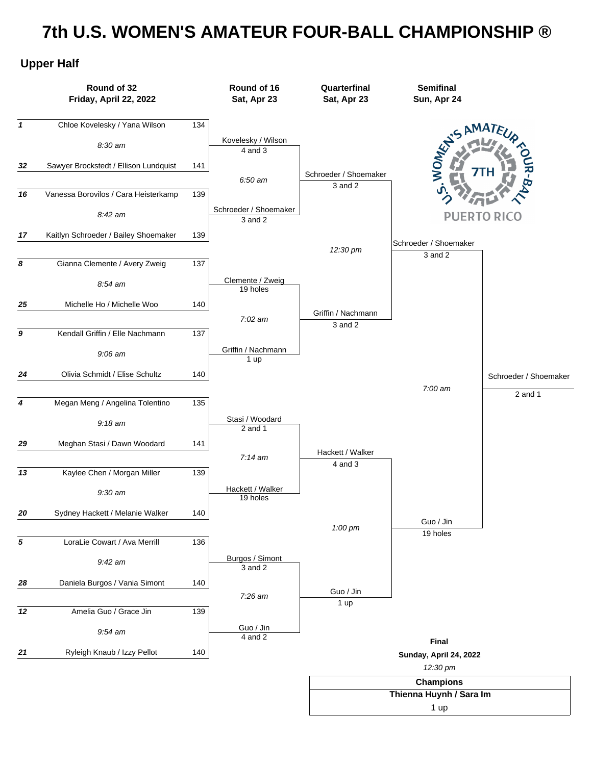## **7th U.S. WOMEN'S AMATEUR FOUR-BALL CHAMPIONSHIP ®**

## **Upper Half**